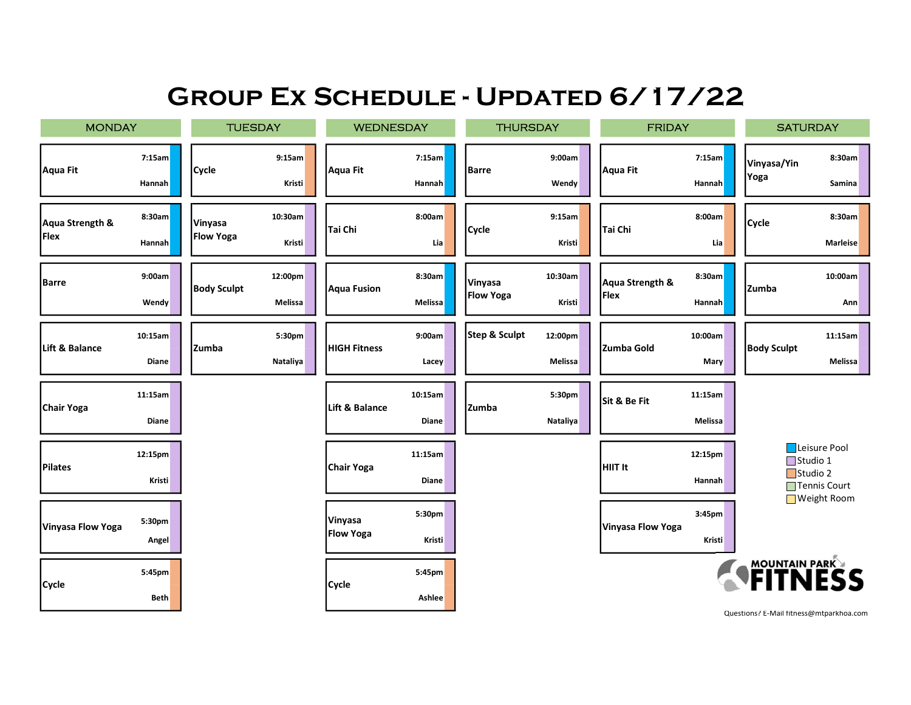# Group Ex Schedule - Updated 6/17/22

| <b>MONDAY</b>           |                             | <b>TUESDAY</b>              |                    | <b>WEDNESDAY</b>            |                              | <b>THURSDAY</b>                    |                    | <b>FRIDAY</b>           |                         | <b>SATURDAY</b>                                           |                                             |
|-------------------------|-----------------------------|-----------------------------|--------------------|-----------------------------|------------------------------|------------------------------------|--------------------|-------------------------|-------------------------|-----------------------------------------------------------|---------------------------------------------|
| Aqua Fit                | 7:15am<br>Hannah            | Cycle                       | 9:15am<br>Kristi   | Aqua Fit                    | 7:15am<br>Hannah             | Barre                              | 9:00am<br>Wendy    | Aqua Fit                | 7:15am<br><b>Hannah</b> | Vinyasa/Yin<br>Yoga                                       | 8:30am<br><b>Samina</b>                     |
| Aqua Strength &<br>Flex | 8:30am<br>Hannah            | Vinyasa<br><b>Flow Yoga</b> | 10:30am<br>Kristi  | Tai Chi                     | 8:00am<br>Lia                | Cycle                              | 9:15am<br>Kristi   | Tai Chi                 | 8:00am<br>Lia           | Cycle                                                     | 8:30am<br><b>Marleise</b>                   |
| <b>Barre</b>            | 9:00am<br>Wendy             | <b>Body Sculpt</b>          | 12:00pm<br>Melissa | Aqua Fusion                 | 8:30am<br>Melissa            | <b>Vinyasa</b><br><b>Flow Yoga</b> | 10:30am<br>Kristi  | Aqua Strength &<br>Flex | 8:30am<br><b>Hannah</b> | <b>Zumba</b>                                              | 10:00am<br>Ann                              |
| Lift & Balance          | 10:15am<br>Diane            | <b>Zumba</b>                | 5:30pm<br>Nataliya | <b>HIGH Fitness</b>         | 9:00am<br>Lacey              | Step & Sculpt                      | 12:00pm<br>Melissa | Zumba Gold              | 10:00am<br><b>Mary</b>  | <b>Body Sculpt</b>                                        | 11:15am<br>Melissa                          |
| Chair Yoga              | 11:15am<br><b>Diane</b>     |                             |                    | Lift & Balance              | 10:15am<br>Diane             | Zumba                              | 5:30pm<br>Nataliya | Sit & Be Fit            | 11:15am<br>Melissa      |                                                           |                                             |
| <b>Pilates</b>          | 12:15pm<br>Kristi           |                             |                    | Chair Yoga                  | 11:15am<br>Diane             |                                    |                    | <b>HIIT It</b>          | 12:15pm<br>Hannah       | Studio 1<br>Studio 2                                      | Leisure Pool<br>Tennis Court<br>Weight Room |
| Vinyasa Flow Yoga       | 5:30 <sub>pm</sub><br>Angel |                             |                    | Vinyasa<br><b>Flow Yoga</b> | 5:30 <sub>pm</sub><br>Kristi |                                    |                    | Vinyasa Flow Yoga       | 3:45pm<br>Kristi        |                                                           |                                             |
| Cycle                   | 5:45pm<br><b>Beth</b>       |                             |                    | Cycle                       | 5:45pm<br>Ashlee             |                                    |                    |                         |                         | <b>FITNESS</b><br>Questions? E-Mail fitness@mtparkhoa.com |                                             |